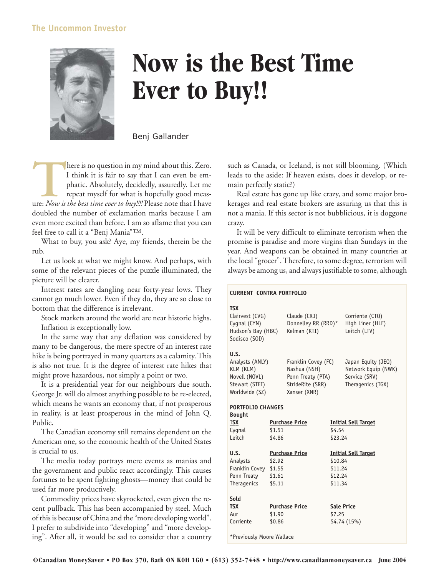## **The Uncommon Investor**



## **Now is the Best Time Ever to Buy!!**

Benj Gallander

There is no question in my mind about this. Zero.<br>
I think it is fair to say that I can even be emphatic. Absolutely, decidedly, assuredly. Let me<br>
repeat myself for what is hopefully good meas-<br>
ure: *Now is the best time* I think it is fair to say that I can even be emphatic. Absolutely, decidedly, assuredly. Let me repeat myself for what is hopefully good measdoubled the number of exclamation marks because I am even more excited than before. I am so aflame that you can feel free to call it a "Benj Mania"™.

What to buy, you ask? Aye, my friends, therein be the rub.

Let us look at what we might know. And perhaps, with some of the relevant pieces of the puzzle illuminated, the picture will be clearer.

Interest rates are dangling near forty-year lows. They cannot go much lower. Even if they do, they are so close to bottom that the difference is irrelevant.

Stock markets around the world are near historic highs. Inflation is exceptionally low.

In the same way that any deflation was considered by many to be dangerous, the mere spectre of an interest rate hike is being portrayed in many quarters as a calamity. This is also not true. It is the degree of interest rate hikes that might prove hazardous, not simply a point or two.

It is a presidential year for our neighbours due south. George Jr. will do almost anything possible to be re-elected, which means he wants an economy that, if not prosperous in reality, is at least prosperous in the mind of John Q. Public.

The Canadian economy still remains dependent on the American one, so the economic health of the United States is crucial to us.

The media today portrays mere events as manias and the government and public react accordingly. This causes fortunes to be spent fighting ghosts—money that could be used far more productively.

Commodity prices have skyrocketed, even given the recent pullback. This has been accompanied by steel. Much of this is because of China and the "more developing world". I prefer to subdivide into "developing" and "more developing". After all, it would be sad to consider that a country such as Canada, or Iceland, is not still blooming. (Which leads to the aside: If heaven exists, does it develop, or remain perfectly static?)

Real estate has gone up like crazy, and some major brokerages and real estate brokers are assuring us that this is not a mania. If this sector is not bubblicious, it is doggone crazy.

It will be very difficult to eliminate terrorism when the promise is paradise and more virgins than Sundays in the year. And weapons can be obtained in many countries at the local "grocer". Therefore, to some degree, terrorism will always be among us, and always justifiable to some, although

## **CURRENT CONTRA PORTFOLIO**

| <b>TSX</b><br>Clairvest (CVG)<br>Cygnal (CYN)<br>Hudson's Bay (HBC)<br>Sodisco (SOD) |                       | Claude (CRJ)<br>Donnelley RR (RRD)*<br>Kelman (KTI) |                            | Corriente (CTQ)<br>High Liner (HLF)<br>Leitch (LTV) |
|--------------------------------------------------------------------------------------|-----------------------|-----------------------------------------------------|----------------------------|-----------------------------------------------------|
| U.S.                                                                                 |                       |                                                     |                            |                                                     |
| Analysts (ANLY)                                                                      |                       | Franklin Covey (FC)                                 |                            | Japan Equity (JEQ)                                  |
| KLM (KLM)                                                                            |                       | Nashua (NSH)                                        |                            | Network Equip (NWK)                                 |
| Novell (NOVL)                                                                        |                       | Penn Treaty (PTA)                                   |                            | Service (SRV)                                       |
| Stewart (STEI)                                                                       |                       | StrideRite (SRR)                                    |                            | Theragenics (TGX)                                   |
| Worldwide (SZ)                                                                       |                       | Xanser (XNR)                                        |                            |                                                     |
| <b>PORTFOLIO CHANGES</b>                                                             |                       |                                                     |                            |                                                     |
| <b>Bought</b>                                                                        |                       |                                                     |                            |                                                     |
| <b>TSX</b>                                                                           | <b>Purchase Price</b> |                                                     | <b>Initial Sell Target</b> |                                                     |
| Cygnal                                                                               | \$1.51                |                                                     | \$4.54                     |                                                     |
| Leitch                                                                               | \$4.86                |                                                     | \$23.24                    |                                                     |
| U.S.                                                                                 |                       | <b>Purchase Price</b>                               |                            | <b>Initial Sell Target</b>                          |
| Analysts                                                                             | \$2.92                |                                                     | \$10.84                    |                                                     |
| Franklin Covey                                                                       | \$1.55                |                                                     | \$11.24                    |                                                     |
| Penn Treaty                                                                          | \$1.61                |                                                     | \$12.24                    |                                                     |
| Theragenics                                                                          | \$5.11                |                                                     | \$11.34                    |                                                     |
| Sold                                                                                 |                       |                                                     |                            |                                                     |
| TSX                                                                                  |                       | <b>Purchase Price</b>                               | <b>Sale Price</b>          |                                                     |
| Aur                                                                                  | \$1.90                |                                                     | \$7.25                     |                                                     |
| Corriente                                                                            | \$0.86                |                                                     |                            | \$4.74(15%)                                         |
| *Previously Moore Wallace                                                            |                       |                                                     |                            |                                                     |